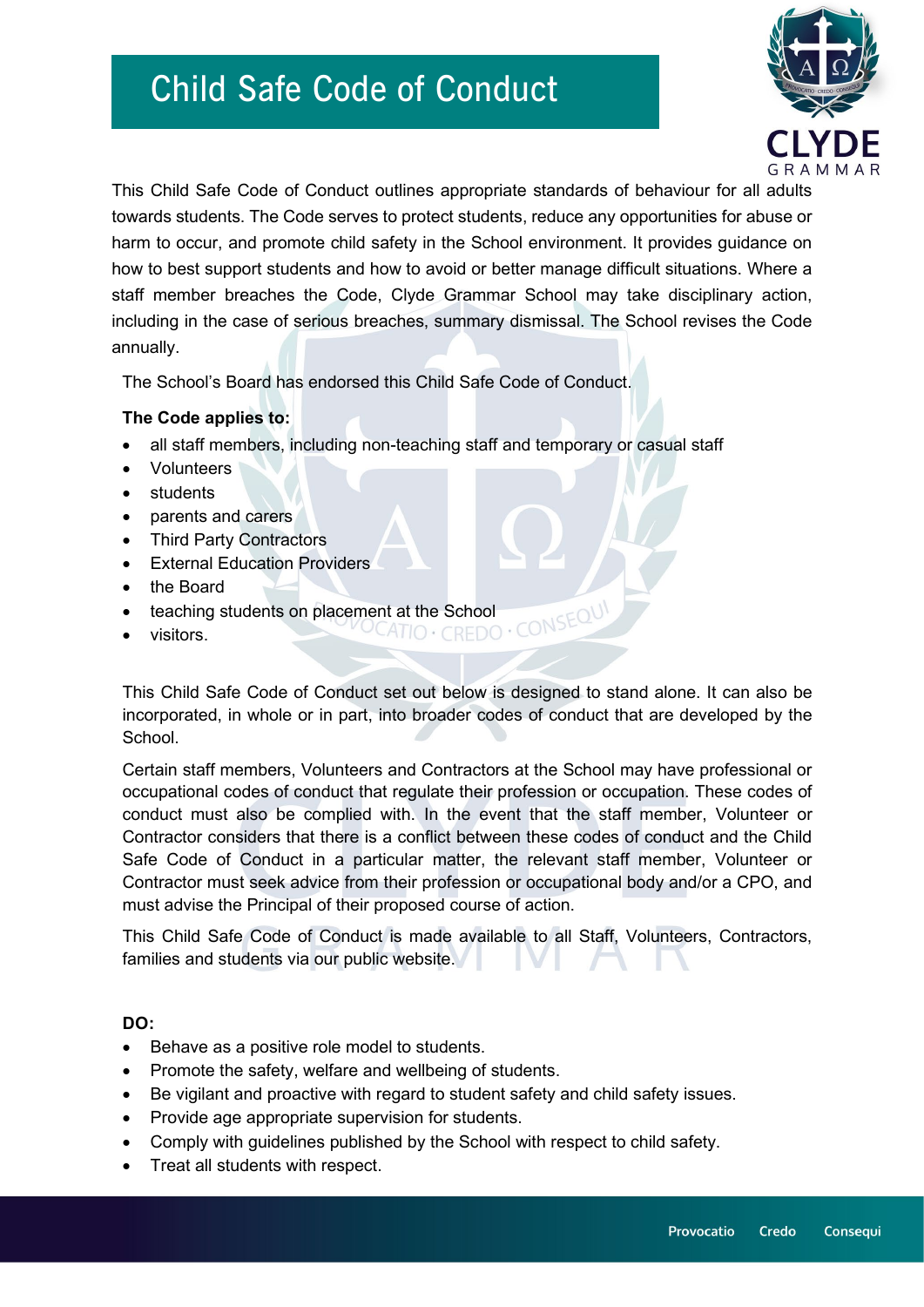

This Child Safe Code of Conduct outlines appropriate standards of behaviour for all adults towards students. The Code serves to protect students, reduce any opportunities for abuse or harm to occur, and promote child safety in the School environment. It provides guidance on how to best support students and how to avoid or better manage difficult situations. Where a staff member breaches the Code, Clyde Grammar School may take disciplinary action, including in the case of serious breaches, summary dismissal. The School revises the Code annually.

The School's Board has endorsed this Child Safe Code of Conduct.

### **The Code applies to:**

- all staff members, including non-teaching staff and temporary or casual staff
- Volunteers
- **students**
- parents and carers
- **Third Party Contractors**
- External Education Providers
- the Board
- teaching students on placement at the School<br>visitors.<br>
- visitors.

This Child Safe Code of Conduct set out below is designed to stand alone. It can also be incorporated, in whole or in part, into broader codes of conduct that are developed by the School.

Certain staff members, Volunteers and Contractors at the School may have professional or occupational codes of conduct that regulate their profession or occupation. These codes of conduct must also be complied with. In the event that the staff member, Volunteer or Contractor considers that there is a conflict between these codes of conduct and the Child Safe Code of Conduct in a particular matter, the relevant staff member, Volunteer or Contractor must seek advice from their profession or occupational body and/or a CPO, and must advise the Principal of their proposed course of action.

This Child Safe Code of Conduct is made available to all Staff, Volunteers, Contractors, families and students via our public website.

#### **DO:**

- Behave as a positive role model to students.
- Promote the safety, welfare and wellbeing of students.
- Be vigilant and proactive with regard to student safety and child safety issues.
- Provide age appropriate supervision for students.
- Comply with guidelines published by the School with respect to child safety.
- Treat all students with respect.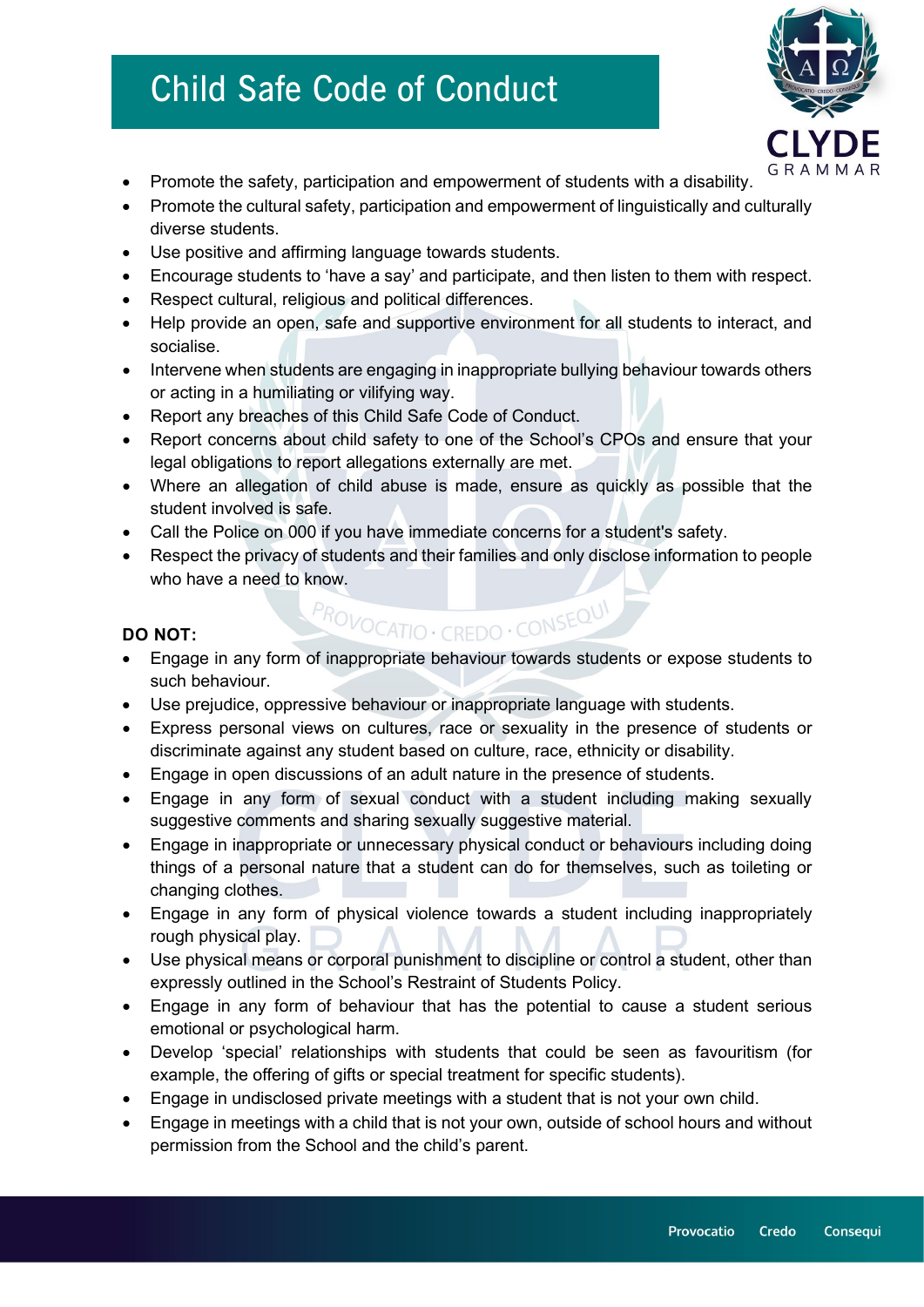

- Promote the safety, participation and empowerment of students with a disability.
- Promote the cultural safety, participation and empowerment of linguistically and culturally diverse students.
- Use positive and affirming language towards students.
- Encourage students to 'have a say' and participate, and then listen to them with respect.
- Respect cultural, religious and political differences.
- Help provide an open, safe and supportive environment for all students to interact, and socialise.
- Intervene when students are engaging in inappropriate bullying behaviour towards others or acting in a humiliating or vilifying way.
- Report any breaches of this Child Safe Code of Conduct.
- Report concerns about child safety to one of the School's CPOs and ensure that your legal obligations to report allegations externally are met.
- Where an allegation of child abuse is made, ensure as quickly as possible that the student involved is safe.
- Call the Police on 000 if you have immediate concerns for a student's safety.
- Respect the privacy of students and their families and only disclose information to people who have a need to know.

#### **DO NOT:**

• Engage in any form of inappropriate behaviour towards students or expose students to such behaviour.

PROVOCATIO · CREDO · CONSEQUI

- Use prejudice, oppressive behaviour or inappropriate language with students.
- Express personal views on cultures, race or sexuality in the presence of students or discriminate against any student based on culture, race, ethnicity or disability.
- Engage in open discussions of an adult nature in the presence of students.
- Engage in any form of sexual conduct with a student including making sexually suggestive comments and sharing sexually suggestive material.
- Engage in inappropriate or unnecessary physical conduct or behaviours including doing things of a personal nature that a student can do for themselves, such as toileting or changing clothes.
- Engage in any form of physical violence towards a student including inappropriately rough physical play.
- Use physical means or corporal punishment to discipline or control a student, other than expressly outlined in the School's Restraint of Students Policy.
- Engage in any form of behaviour that has the potential to cause a student serious emotional or psychological harm.
- Develop 'special' relationships with students that could be seen as favouritism (for example, the offering of gifts or special treatment for specific students).
- Engage in undisclosed private meetings with a student that is not your own child.
- Engage in meetings with a child that is not your own, outside of school hours and without permission from the School and the child's parent.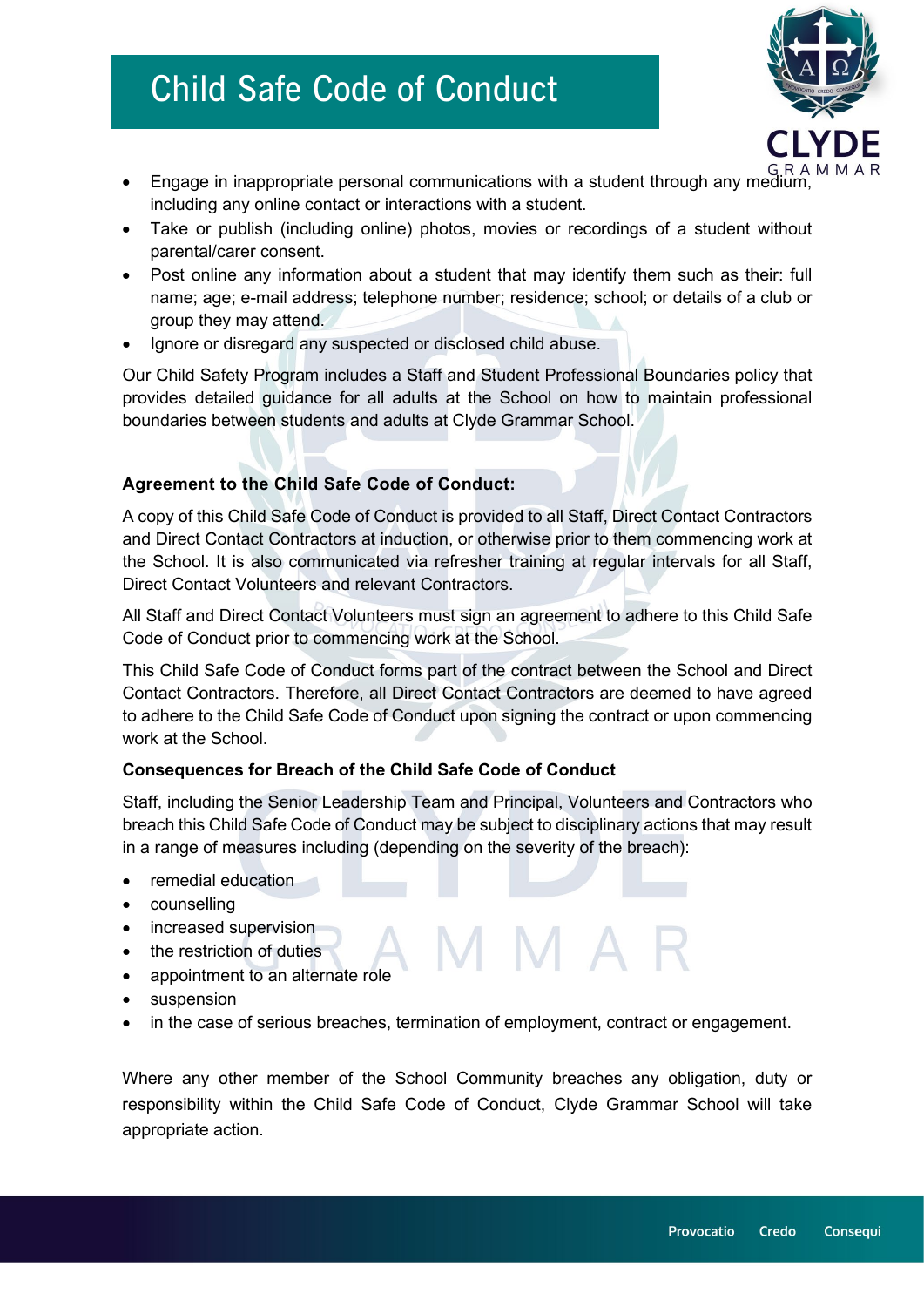

- Engage in inappropriate personal communications with a student through any medium, including any online contact or interactions with a student.
- Take or publish (including online) photos, movies or recordings of a student without parental/carer consent.
- Post online any information about a student that may identify them such as their: full name; age; e-mail address; telephone number; residence; school; or details of a club or group they may attend.
- Ignore or disregard any suspected or disclosed child abuse.

Our Child Safety Program includes a Staff and Student Professional Boundaries policy that provides detailed guidance for all adults at the School on how to maintain professional boundaries between students and adults at Clyde Grammar School.

### **Agreement to the Child Safe Code of Conduct:**

A copy of this Child Safe Code of Conduct is provided to all Staff, Direct Contact Contractors and Direct Contact Contractors at induction, or otherwise prior to them commencing work at the School. It is also communicated via refresher training at regular intervals for all Staff, Direct Contact Volunteers and relevant Contractors.

All Staff and Direct Contact Volunteers must sign an agreement to adhere to this Child Safe Code of Conduct prior to commencing work at the School.

This Child Safe Code of Conduct forms part of the contract between the School and Direct Contact Contractors. Therefore, all Direct Contact Contractors are deemed to have agreed to adhere to the Child Safe Code of Conduct upon signing the contract or upon commencing work at the School.

### **Consequences for Breach of the Child Safe Code of Conduct**

Staff, including the Senior Leadership Team and Principal, Volunteers and Contractors who breach this Child Safe Code of Conduct may be subject to disciplinary actions that may result in a range of measures including (depending on the severity of the breach):

- remedial education
- counselling
- increased supervision
- the restriction of duties
- appointment to an alternate role
- suspension
- in the case of serious breaches, termination of employment, contract or engagement.

Where any other member of the School Community breaches any obligation, duty or responsibility within the Child Safe Code of Conduct, Clyde Grammar School will take appropriate action.